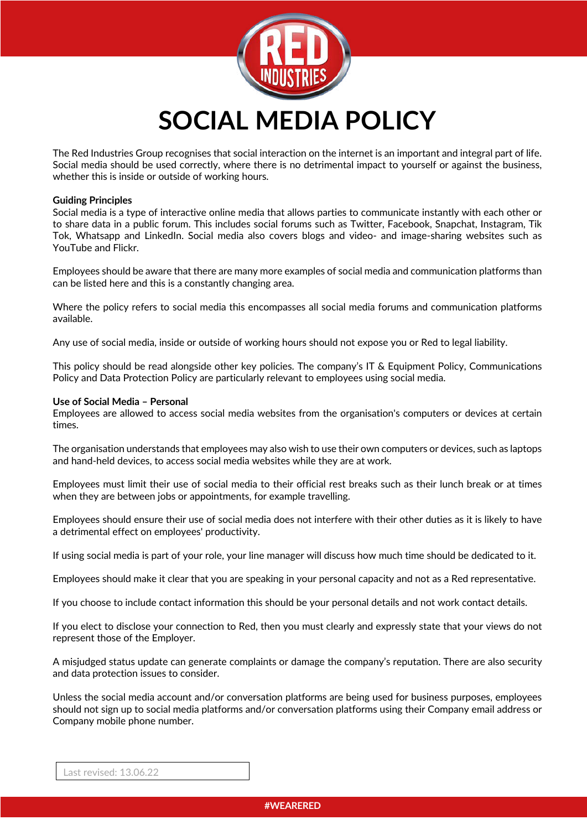

The Red Industries Group recognises that social interaction on the internet is an important and integral part of life. Social media should be used correctly, where there is no detrimental impact to yourself or against the business, whether this is inside or outside of working hours.

# **Guiding Principles**

Social media is a type of interactive online media that allows parties to communicate instantly with each other or to share data in a public forum. This includes social forums such as Twitter, Facebook, Snapchat, Instagram, Tik Tok, Whatsapp and LinkedIn. Social media also covers blogs and video- and image-sharing websites such as YouTube and Flickr.

Employees should be aware that there are many more examples of social media and communication platforms than can be listed here and this is a constantly changing area.

Where the policy refers to social media this encompasses all social media forums and communication platforms available.

Any use of social media, inside or outside of working hours should not expose you or Red to legal liability.

This policy should be read alongside other key policies. The company's IT & Equipment Policy, Communications Policy and Data Protection Policy are particularly relevant to employees using social media.

#### **Use of Social Media – Personal**

Employees are allowed to access social media websites from the organisation's computers or devices at certain times.

The organisation understands that employees may also wish to use their own computers or devices, such as laptops and hand-held devices, to access social media websites while they are at work.

Employees must limit their use of social media to their official rest breaks such as their lunch break or at times when they are between jobs or appointments, for example travelling.

Employees should ensure their use of social media does not interfere with their other duties as it is likely to have a detrimental effect on employees' productivity.

If using social media is part of your role, your line manager will discuss how much time should be dedicated to it.

Employees should make it clear that you are speaking in your personal capacity and not as a Red representative.

If you choose to include contact information this should be your personal details and not work contact details.

If you elect to disclose your connection to Red, then you must clearly and expressly state that your views do not represent those of the Employer.

A misjudged status update can generate complaints or damage the company's reputation. There are also security and data protection issues to consider.

Unless the social media account and/or conversation platforms are being used for business purposes, employees should not sign up to social media platforms and/or conversation platforms using their Company email address or Company mobile phone number.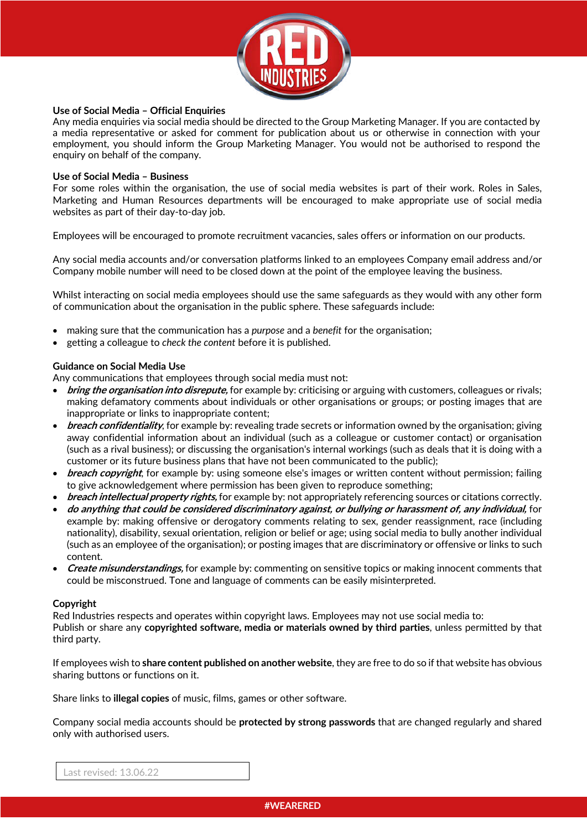

## **Use of Social Media – Official Enquiries**

Any media enquiries via social media should be directed to the Group Marketing Manager. If you are contacted by a media representative or asked for comment for publication about us or otherwise in connection with your employment, you should inform the Group Marketing Manager. You would not be authorised to respond the enquiry on behalf of the company.

### **Use of Social Media – Business**

For some roles within the organisation, the use of social media websites is part of their work. Roles in Sales, Marketing and Human Resources departments will be encouraged to make appropriate use of social media websites as part of their day-to-day job.

Employees will be encouraged to promote recruitment vacancies, sales offers or information on our products.

Any social media accounts and/or conversation platforms linked to an employees Company email address and/or Company mobile number will need to be closed down at the point of the employee leaving the business.

Whilst interacting on social media employees should use the same safeguards as they would with any other form of communication about the organisation in the public sphere. These safeguards include:

- making sure that the communication has a *purpose* and a *benefit* for the organisation;
- getting a colleague to *check the content* before it is published.

# **Guidance on Social Media Use**

Any communications that employees through social media must not:

- **bring the organisation into disrepute,** for example by: criticising or arguing with customers, colleagues or rivals; making defamatory comments about individuals or other organisations or groups; or posting images that are inappropriate or links to inappropriate content;
- **breach confidentiality**, for example by: revealing trade secrets or information owned by the organisation; giving away confidential information about an individual (such as a colleague or customer contact) or organisation (such as a rival business); or discussing the organisation's internal workings (such as deals that it is doing with a customer or its future business plans that have not been communicated to the public);
- **breach copyright**, for example by: using someone else's images or written content without permission; failing to give acknowledgement where permission has been given to reproduce something;
- **breach intellectual property rights,** for example by: not appropriately referencing sources or citations correctly.
- **do anything that could be considered discriminatory against, or bullying or harassment of, any individual,** for example by: making offensive or derogatory comments relating to sex, gender reassignment, race (including nationality), disability, sexual orientation, religion or belief or age; using social media to bully another individual (such as an employee of the organisation); or posting images that are discriminatory or offensive or links to such content.
- **Create misunderstandings,** for example by: commenting on sensitive topics or making innocent comments that could be misconstrued. Tone and language of comments can be easily misinterpreted.

#### **Copyright**

Red Industries respects and operates within copyright laws. Employees may not use social media to: Publish or share any **copyrighted software, media or materials owned by third parties**, unless permitted by that third party.

If employees wish to **share content published on another website**, they are free to do so if that website has obvious sharing buttons or functions on it.

Share links to **illegal copies** of music, films, games or other software.

Company social media accounts should be **protected by strong passwords** that are changed regularly and shared only with authorised users.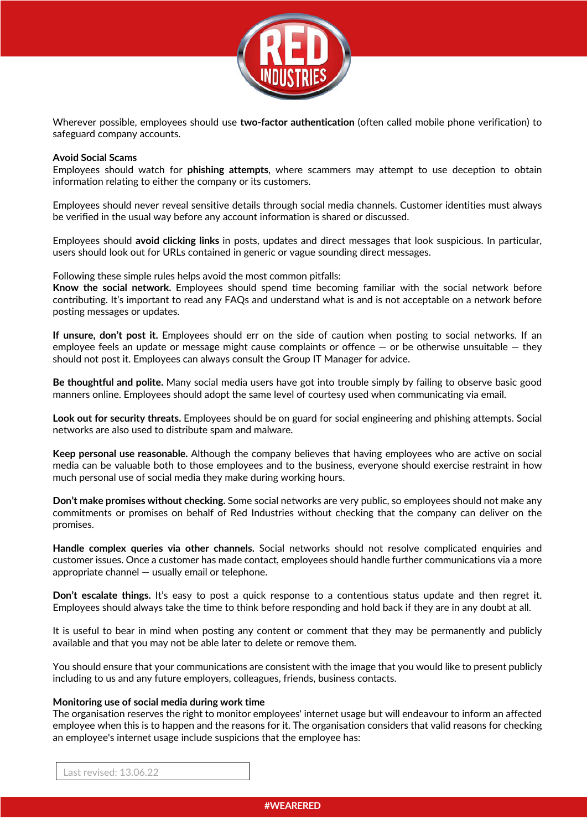

Wherever possible, employees should use **two-factor authentication** (often called mobile phone verification) to safeguard company accounts.

### **Avoid Social Scams**

Employees should watch for **phishing attempts**, where scammers may attempt to use deception to obtain information relating to either the company or its customers.

Employees should never reveal sensitive details through social media channels. Customer identities must always be verified in the usual way before any account information is shared or discussed.

Employees should **avoid clicking links** in posts, updates and direct messages that look suspicious. In particular, users should look out for URLs contained in generic or vague sounding direct messages.

Following these simple rules helps avoid the most common pitfalls:

**Know the social network.** Employees should spend time becoming familiar with the social network before contributing. It's important to read any FAQs and understand what is and is not acceptable on a network before posting messages or updates.

**If unsure, don't post it.** Employees should err on the side of caution when posting to social networks. If an employee feels an update or message might cause complaints or offence  $-$  or be otherwise unsuitable  $-$  they should not post it. Employees can always consult the Group IT Manager for advice.

**Be thoughtful and polite.** Many social media users have got into trouble simply by failing to observe basic good manners online. Employees should adopt the same level of courtesy used when communicating via email.

**Look out for security threats.** Employees should be on guard for social engineering and phishing attempts. Social networks are also used to distribute spam and malware.

**Keep personal use reasonable.** Although the company believes that having employees who are active on social media can be valuable both to those employees and to the business, everyone should exercise restraint in how much personal use of social media they make during working hours.

**Don't make promises without checking.** Some social networks are very public, so employees should not make any commitments or promises on behalf of Red Industries without checking that the company can deliver on the promises.

**Handle complex queries via other channels.** Social networks should not resolve complicated enquiries and customer issues. Once a customer has made contact, employees should handle further communications via a more appropriate channel — usually email or telephone.

**Don't escalate things.** It's easy to post a quick response to a contentious status update and then regret it. Employees should always take the time to think before responding and hold back if they are in any doubt at all.

It is useful to bear in mind when posting any content or comment that they may be permanently and publicly available and that you may not be able later to delete or remove them.

You should ensure that your communications are consistent with the image that you would like to present publicly including to us and any future employers, colleagues, friends, business contacts.

#### **Monitoring use of social media during work time**

The organisation reserves the right to monitor employees' internet usage but will endeavour to inform an affected employee when this is to happen and the reasons for it. The organisation considers that valid reasons for checking an employee's internet usage include suspicions that the employee has: